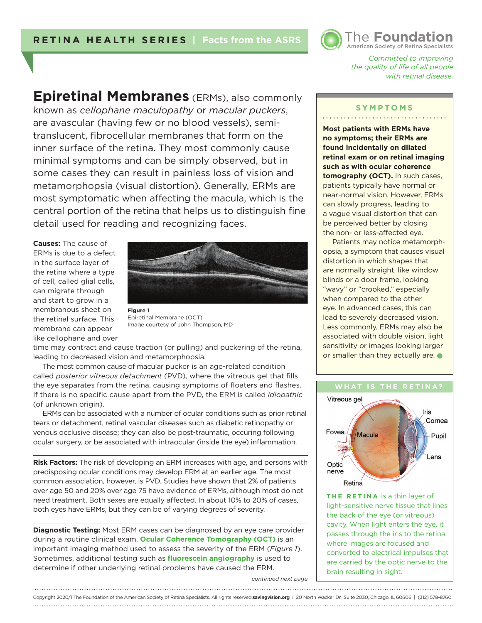

*Committed to improving the quality of life of all people with retinal disease.* 

**Epiretinal Membranes** (ERMs), also commonly known as *cellophane maculopathy* or *macular puckers*, are avascular (having few or no blood vessels), semitranslucent, fibrocellular membranes that form on the inner surface of the retina. They most commonly cause minimal symptoms and can be simply observed, but in some cases they can result in painless loss of vision and metamorphopsia (visual distortion). Generally, ERMs are most symptomatic when affecting the macula, which is the central portion of the retina that helps us to distinguish fine detail used for reading and recognizing faces.

**Causes:** The cause of ERMs is due to a defect in the surface layer of the retina where a type of cell, called glial cells, can migrate through and start to grow in a membranous sheet on the retinal surface. This membrane can appear like cellophane and over



**Figure 1**  Epiretinal Membrane (OCT) Image courtesy of John Thompson, MD

time may contract and cause traction (or pulling) and puckering of the retina, leading to decreased vision and metamorphopsia.

The most common cause of macular pucker is an age-related condition called *posterior vitreous detachment* (PVD), where the vitreous gel that fills the eye separates from the retina, causing symptoms of floaters and flashes. If there is no specific cause apart from the PVD, the ERM is called *idiopathic* (of unknown origin).

ERMs can be associated with a number of ocular conditions such as prior retinal tears or detachment, retinal vascular diseases such as diabetic retinopathy or venous occlusive disease; they can also be post-traumatic, occuring following ocular surgery, or be associated with intraocular (inside the eye) inflammation.

**Risk Factors:** The risk of developing an ERM increases with age, and persons with predisposing ocular conditions may develop ERM at an earlier age. The most common association, however, is PVD. Studies have shown that 2% of patients over age 50 and 20% over age 75 have evidence of ERMs, although most do not need treatment. Both sexes are equally affected. In about 10% to 20% of cases, both eyes have ERMs, but they can be of varying degrees of severity.

**Diagnostic Testing:** Most ERM cases can be diagnosed by an eye care provider during a routine clinical exam. **Ocular Coherence Tomography (OCT)** is an important imaging method used to assess the severity of the ERM (*Figure 1*). Sometimes, additional testing such as **fluorescein angiography** is used to determine if other underlying retinal problems have caused the ERM.

*continued next page*

### **SYMPTOMS** . . . . . . . . . . . . . . . . .

**Most patients with ERMs have no symptoms; their ERMs are found incidentally on dilated retinal exam or on retinal imaging such as with ocular coherence tomography (OCT).** In such cases, patients typically have normal or near-normal vision. However, ERMs can slowly progress, leading to a vague visual distortion that can be perceived better by closing the non- or less-affected eye.

Patients may notice metamorphopsia, a symptom that causes visual distortion in which shapes that are normally straight, like window blinds or a door frame, looking "wavy" or "crooked," especially when compared to the other eye. In advanced cases, this can lead to severely decreased vision. Less commonly, ERMs may also be associated with double vision, light sensitivity or images looking larger or smaller than they actually are.  $\bullet$ 



**THE RETINA** is a thin layer of light-sensitive nerve tissue that lines the back of the eye (or vitreous) cavity. When light enters the eye, it passes through the iris to the retina where images are focused and converted to electrical impulses that are carried by the optic nerve to the brain resulting in sight.

#### Copyright 2020/1 The Foundation of the American Society of Retina Specialists. All rights reserved.**savingvision.org** I 20 North Wacker Dr., Suite 2030, Chicago, IL 60606 | (312) 578-8760